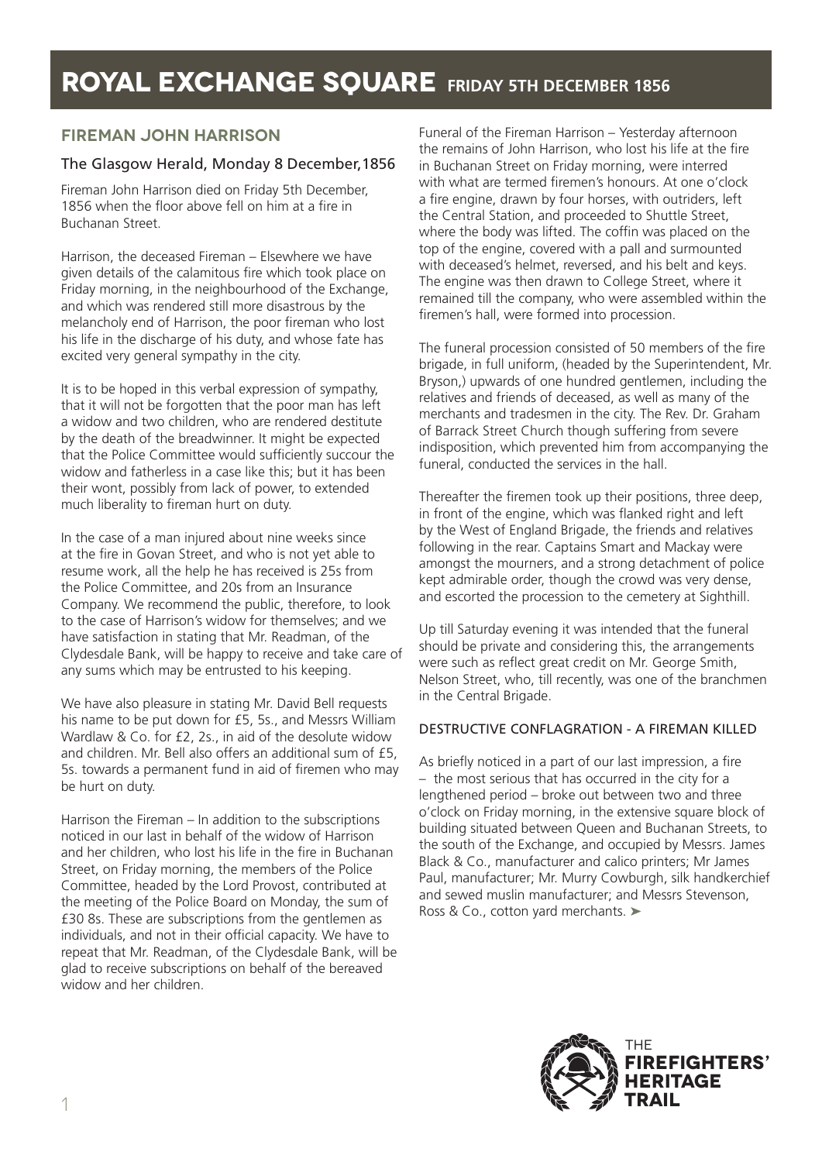# **ROYAL EXCHANGE SQUARE FRIDAY 5TH DECEMBER 1856**

### **FIREMAN JOHN HARRISON**

### The Glasgow Herald, Monday 8 December,1856

Fireman John Harrison died on Friday 5th December, 1856 when the floor above fell on him at a fire in Buchanan Street.

Harrison, the deceased Fireman – Elsewhere we have given details of the calamitous fire which took place on Friday morning, in the neighbourhood of the Exchange, and which was rendered still more disastrous by the melancholy end of Harrison, the poor fireman who lost his life in the discharge of his duty, and whose fate has excited very general sympathy in the city.

It is to be hoped in this verbal expression of sympathy, that it will not be forgotten that the poor man has left a widow and two children, who are rendered destitute by the death of the breadwinner. It might be expected that the Police Committee would sufficiently succour the widow and fatherless in a case like this; but it has been their wont, possibly from lack of power, to extended much liberality to fireman hurt on duty.

In the case of a man injured about nine weeks since at the fire in Govan Street, and who is not yet able to resume work, all the help he has received is 25s from the Police Committee, and 20s from an Insurance Company. We recommend the public, therefore, to look to the case of Harrison's widow for themselves; and we have satisfaction in stating that Mr. Readman, of the Clydesdale Bank, will be happy to receive and take care of any sums which may be entrusted to his keeping.

We have also pleasure in stating Mr. David Bell requests his name to be put down for £5, 5s., and Messrs William Wardlaw & Co. for £2, 2s., in aid of the desolute widow and children. Mr. Bell also offers an additional sum of £5, 5s. towards a permanent fund in aid of firemen who may be hurt on duty.

Harrison the Fireman – In addition to the subscriptions noticed in our last in behalf of the widow of Harrison and her children, who lost his life in the fire in Buchanan Street, on Friday morning, the members of the Police Committee, headed by the Lord Provost, contributed at the meeting of the Police Board on Monday, the sum of £30 8s. These are subscriptions from the gentlemen as individuals, and not in their official capacity. We have to repeat that Mr. Readman, of the Clydesdale Bank, will be glad to receive subscriptions on behalf of the bereaved widow and her children.

Funeral of the Fireman Harrison – Yesterday afternoon the remains of John Harrison, who lost his life at the fire in Buchanan Street on Friday morning, were interred with what are termed firemen's honours. At one o'clock a fire engine, drawn by four horses, with outriders, left the Central Station, and proceeded to Shuttle Street, where the body was lifted. The coffin was placed on the top of the engine, covered with a pall and surmounted with deceased's helmet, reversed, and his belt and keys. The engine was then drawn to College Street, where it remained till the company, who were assembled within the firemen's hall, were formed into procession.

The funeral procession consisted of 50 members of the fire brigade, in full uniform, (headed by the Superintendent, Mr. Bryson,) upwards of one hundred gentlemen, including the relatives and friends of deceased, as well as many of the merchants and tradesmen in the city. The Rev. Dr. Graham of Barrack Street Church though suffering from severe indisposition, which prevented him from accompanying the funeral, conducted the services in the hall.

Thereafter the firemen took up their positions, three deep, in front of the engine, which was flanked right and left by the West of England Brigade, the friends and relatives following in the rear. Captains Smart and Mackay were amongst the mourners, and a strong detachment of police kept admirable order, though the crowd was very dense, and escorted the procession to the cemetery at Sighthill.

Up till Saturday evening it was intended that the funeral should be private and considering this, the arrangements were such as reflect great credit on Mr. George Smith, Nelson Street, who, till recently, was one of the branchmen in the Central Brigade.

#### DESTRUCTIVE CONFLAGRATION - A FIREMAN KILLED

As briefly noticed in a part of our last impression, a fire – the most serious that has occurred in the city for a lengthened period – broke out between two and three o'clock on Friday morning, in the extensive square block of building situated between Queen and Buchanan Streets, to the south of the Exchange, and occupied by Messrs. James Black & Co., manufacturer and calico printers; Mr James Paul, manufacturer; Mr. Murry Cowburgh, silk handkerchief and sewed muslin manufacturer; and Messrs Stevenson, Ross & Co., cotton yard merchants. ➤

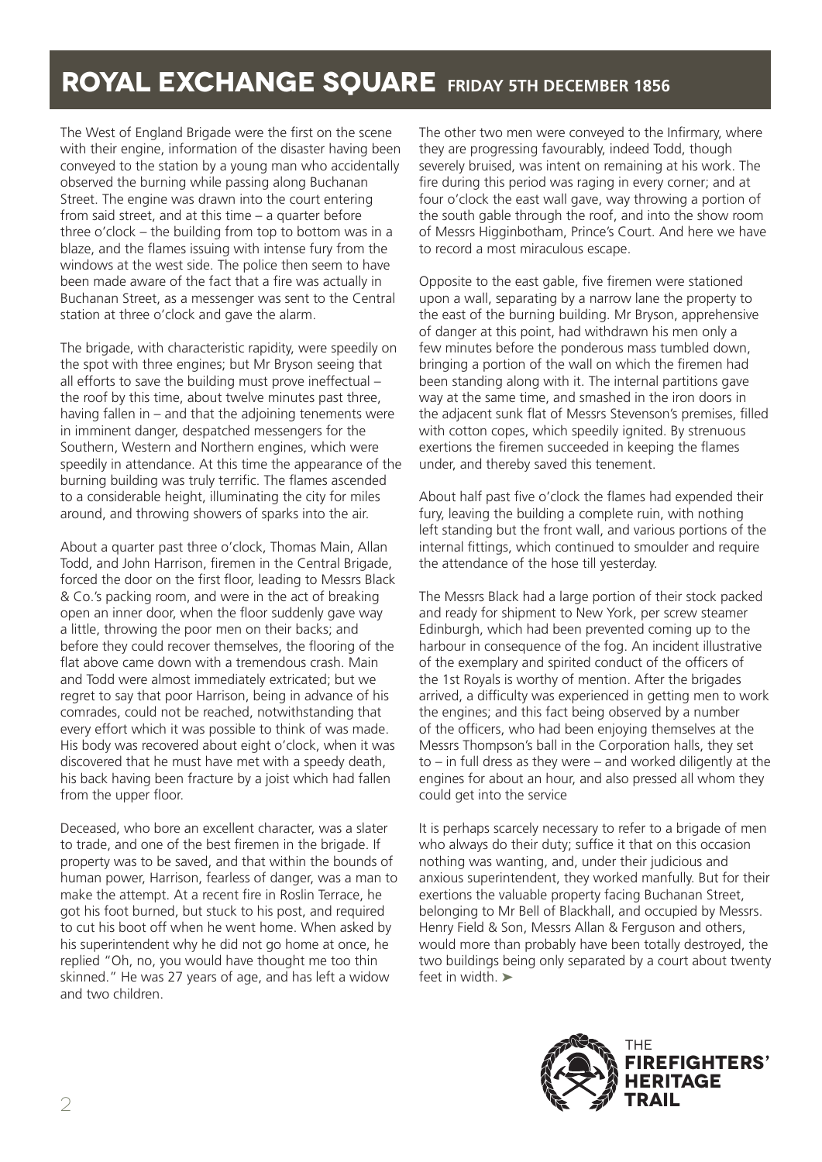# **ROYAL EXCHANGE SQUARE FRIDAY 5TH DECEMBER 1856**

The West of England Brigade were the first on the scene with their engine, information of the disaster having been conveyed to the station by a young man who accidentally observed the burning while passing along Buchanan Street. The engine was drawn into the court entering from said street, and at this time – a quarter before three o'clock – the building from top to bottom was in a blaze, and the flames issuing with intense fury from the windows at the west side. The police then seem to have been made aware of the fact that a fire was actually in Buchanan Street, as a messenger was sent to the Central station at three o'clock and gave the alarm.

The brigade, with characteristic rapidity, were speedily on the spot with three engines; but Mr Bryson seeing that all efforts to save the building must prove ineffectual – the roof by this time, about twelve minutes past three, having fallen in – and that the adjoining tenements were in imminent danger, despatched messengers for the Southern, Western and Northern engines, which were speedily in attendance. At this time the appearance of the burning building was truly terrific. The flames ascended to a considerable height, illuminating the city for miles around, and throwing showers of sparks into the air.

About a quarter past three o'clock, Thomas Main, Allan Todd, and John Harrison, firemen in the Central Brigade, forced the door on the first floor, leading to Messrs Black & Co.'s packing room, and were in the act of breaking open an inner door, when the floor suddenly gave way a little, throwing the poor men on their backs; and before they could recover themselves, the flooring of the flat above came down with a tremendous crash. Main and Todd were almost immediately extricated; but we regret to say that poor Harrison, being in advance of his comrades, could not be reached, notwithstanding that every effort which it was possible to think of was made. His body was recovered about eight o'clock, when it was discovered that he must have met with a speedy death, his back having been fracture by a joist which had fallen from the upper floor.

Deceased, who bore an excellent character, was a slater to trade, and one of the best firemen in the brigade. If property was to be saved, and that within the bounds of human power, Harrison, fearless of danger, was a man to make the attempt. At a recent fire in Roslin Terrace, he got his foot burned, but stuck to his post, and required to cut his boot off when he went home. When asked by his superintendent why he did not go home at once, he replied "Oh, no, you would have thought me too thin skinned." He was 27 years of age, and has left a widow and two children.

The other two men were conveyed to the Infirmary, where they are progressing favourably, indeed Todd, though severely bruised, was intent on remaining at his work. The fire during this period was raging in every corner; and at four o'clock the east wall gave, way throwing a portion of the south gable through the roof, and into the show room of Messrs Higginbotham, Prince's Court. And here we have to record a most miraculous escape.

Opposite to the east gable, five firemen were stationed upon a wall, separating by a narrow lane the property to the east of the burning building. Mr Bryson, apprehensive of danger at this point, had withdrawn his men only a few minutes before the ponderous mass tumbled down, bringing a portion of the wall on which the firemen had been standing along with it. The internal partitions gave way at the same time, and smashed in the iron doors in the adjacent sunk flat of Messrs Stevenson's premises, filled with cotton copes, which speedily ignited. By strenuous exertions the firemen succeeded in keeping the flames under, and thereby saved this tenement.

About half past five o'clock the flames had expended their fury, leaving the building a complete ruin, with nothing left standing but the front wall, and various portions of the internal fittings, which continued to smoulder and require the attendance of the hose till yesterday.

The Messrs Black had a large portion of their stock packed and ready for shipment to New York, per screw steamer Edinburgh, which had been prevented coming up to the harbour in consequence of the fog. An incident illustrative of the exemplary and spirited conduct of the officers of the 1st Royals is worthy of mention. After the brigades arrived, a difficulty was experienced in getting men to work the engines; and this fact being observed by a number of the officers, who had been enjoying themselves at the Messrs Thompson's ball in the Corporation halls, they set to – in full dress as they were – and worked diligently at the engines for about an hour, and also pressed all whom they could get into the service

It is perhaps scarcely necessary to refer to a brigade of men who always do their duty; suffice it that on this occasion nothing was wanting, and, under their judicious and anxious superintendent, they worked manfully. But for their exertions the valuable property facing Buchanan Street, belonging to Mr Bell of Blackhall, and occupied by Messrs. Henry Field & Son, Messrs Allan & Ferguson and others, would more than probably have been totally destroyed, the two buildings being only separated by a court about twenty feet in width. ➤